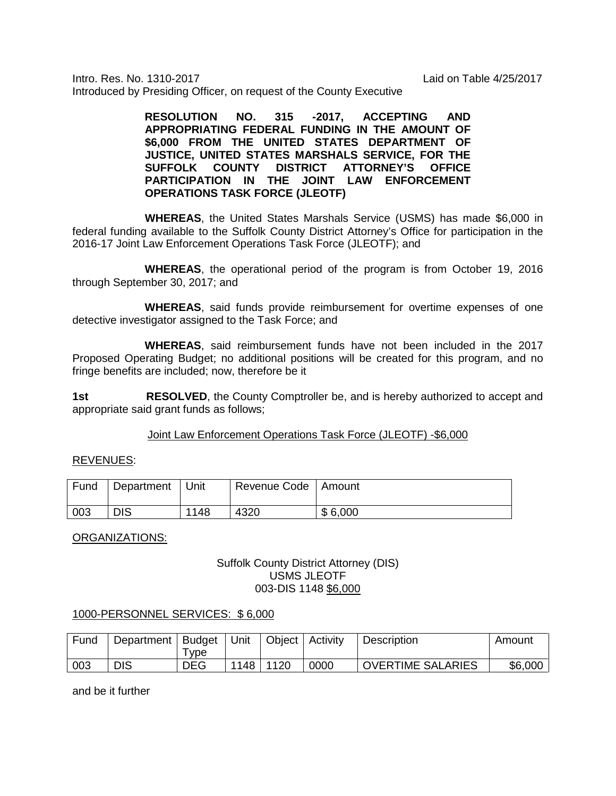Intro. Res. No. 1310-2017 Laid on Table 4/25/2017 Introduced by Presiding Officer, on request of the County Executive

> **RESOLUTION NO. 315 -2017, ACCEPTING AND APPROPRIATING FEDERAL FUNDING IN THE AMOUNT OF \$6,000 FROM THE UNITED STATES DEPARTMENT OF JUSTICE, UNITED STATES MARSHALS SERVICE, FOR THE SUFFOLK COUNTY DISTRICT ATTORNEY'S OFFICE PARTICIPATION IN THE JOINT LAW ENFORCEMENT OPERATIONS TASK FORCE (JLEOTF)**

**WHEREAS**, the United States Marshals Service (USMS) has made \$6,000 in federal funding available to the Suffolk County District Attorney's Office for participation in the 2016-17 Joint Law Enforcement Operations Task Force (JLEOTF); and

**WHEREAS**, the operational period of the program is from October 19, 2016 through September 30, 2017; and

**WHEREAS**, said funds provide reimbursement for overtime expenses of one detective investigator assigned to the Task Force; and

**WHEREAS**, said reimbursement funds have not been included in the 2017 Proposed Operating Budget; no additional positions will be created for this program, and no fringe benefits are included; now, therefore be it

**1st <b>RESOLVED**, the County Comptroller be, and is hereby authorized to accept and appropriate said grant funds as follows;

## Joint Law Enforcement Operations Task Force (JLEOTF) -\$6,000

## REVENUES:

| Fund | Department | l Unit | Revenue Code   Amount |         |
|------|------------|--------|-----------------------|---------|
| 003  | <b>DIS</b> | 1148   | 4320                  | \$6,000 |

ORGANIZATIONS:

## Suffolk County District Attorney (DIS) USMS JLEOTF 003-DIS 1148 \$6,000

## 1000-PERSONNEL SERVICES: \$ 6,000

| Fund | Department | <b>Budget</b> | Unit | Object   Activity |      | <b>Description</b>       | Amount  |
|------|------------|---------------|------|-------------------|------|--------------------------|---------|
|      |            | vpe           |      |                   |      |                          |         |
| 003  | <b>DIS</b> | <b>DEG</b>    | 1148 | l 1120            | 0000 | <b>OVERTIME SALARIES</b> | \$6,000 |

and be it further